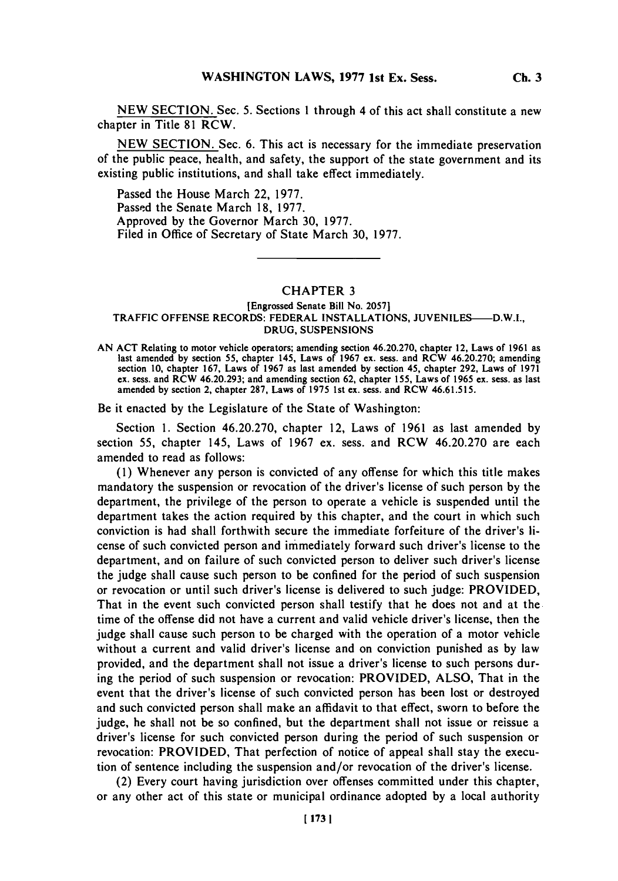**NEW SECTION.** Sec. *5.* Sections 1 through 4 of this act shall constitute a new chapter in Title **81** RCW.

**NEW SECTION.** Sec. **6.** This act is necessary for the immediate preservation of the public peace, health, and safety, the support of the state government and its existing public institutions, and shall take effect immediately.

Passed the House March 22, **1977.** Passed the Senate March 18, 1977. Approved **by** the Governor March **30, 1977.** Filed in Office of Secretary of State March **30, 1977.**

## CHAPTER **3**

## [Engrossed Senate Bill No. **2057]** TRAFFIC **OFFENSE** RECORDS: FEDERAL **INSTALLATIONS,** JUVENILES-D.W.I., **DRUG, SUSPENSIONS**

**AN ACT** Relating to motor vehicle operators; amending section 46.20.270, chapter 12, Laws of **1961** as last amended **by** section **55,** chapter 145, Laws of **1967** ex. ses, and RCW 46.20.270; amending section **10,** chapter **167,** Laws of **1967** as last amended **by** section 45, chapter **292,** Laws of **1971** ex. sess. and RCW 46.20.293; and amending section **62,** chapter **155,** Laws of **1965** ex. sess. as last amended **by** section 2, chapter **287,** Laws of **1975** 1st ex. sess. and RCW **46.61.515.**

Be it enacted **by** the Legislature of the State of Washington:

Section **1.** Section 46.20.270, chapter 12, Laws of **1961** as last amended **by** section **55,** chapter *145,* Laws of **1967** ex. sess. and RCW 46.20.270 are each amended to read as follows:

**(1)** Whenever any person is convicted of any offense for which this title makes mandatory the suspension or revocation of the driver's license of such person **by** the department, the privilege of the person to operate a vehicle is suspended until the department takes the action required **by** this chapter, and the court in which such conviction is had shall forthwith secure the immediate forfeiture of the driver's license of such convicted person and im mediately forward such driver's license to the department, and on failure of such convicted person to deliver such driver's license the judge shall cause such person to be confined for the period of such suspension or revocation or until such driver's license is delivered to such judge: PROVIDED, That in the event such convicted person shall testify that he does not and at the time of the offense did not have a current and valid vehicle driver's license, then the judge shall cause such person to be charged with the operation of a motor vehicle without a current and valid driver's license and on conviction punished as **by** law provided, and the department shall not issue a driver's license to such persons during the period of such suspension or revocation: PROVIDED, **ALSO,** That in the event that the driver's license of such convicted person has been lost or destroyed and such convicted person shall make an affidavit to that effect, sworn to before the judge, he shall not be so confined, but the department shall not issue or reissue a driver's license for such convicted person during the period of such suspension or revocation: PROVIDED, That perfection of notice of appeal shall stay the execution of sentence including the suspension and/or revocation of the driver's license.

(2) Every court having jurisdiction over offenses committed under this chapter, or any other act of this state or municipal ordinance adopted **by** a local authority

**Ch. 3**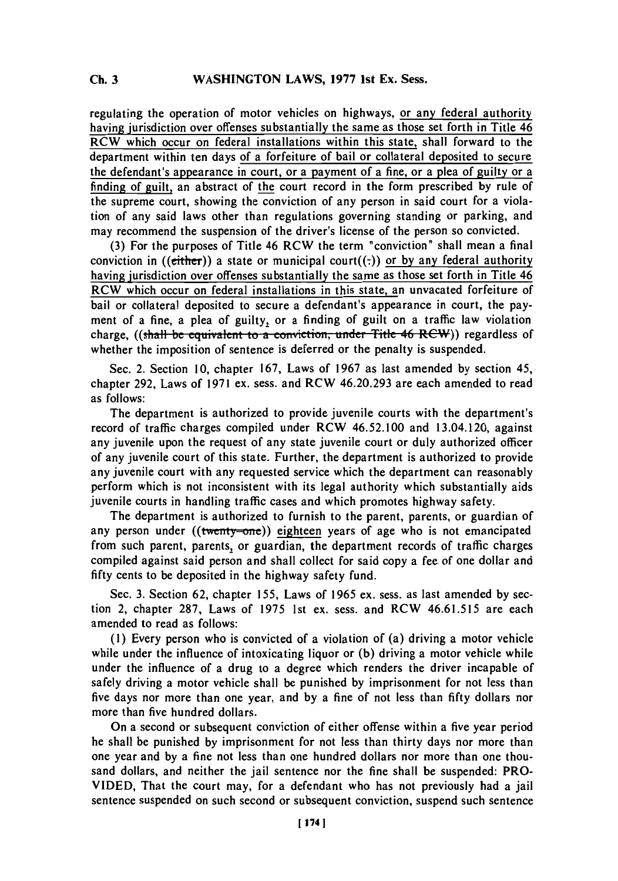regulating the operation of motor vehicles on highways, or any federal authority having jurisdiction over offenses substantially the same as those set forth in Title 46 RCW which occur on federal installations within this state, shall forward to the department within ten days of a forfeiture of bail or collateral deposited to secure the defendant's appearance in court, or a payment of a fine, or a plea of guilty or a finding of guilt, an abstract of the court record in the form prescribed **by** rule of the supreme court, showing the conviction of any person in said court for a violation of any said laws other than regulations governing standing or parking, and may recommend the suspension of the driver's license of the person so convicted.

**(3)** For the purposes of Title 46 RCW the term "conviction" shall mean a final conviction in (( $\epsilon$ *i*ther)) a state or municipal court( $(.)$ ) or by any federal authority having jurisdiction over offenses substantially the same as those set forth in Title 46 RCW which occur on federal installations in this state, an unvacated forfeiture of bail or collateral deposited to secure a defendant's appearance in court, the payment of a fine, a plea of guilty, or a finding of guilt on a traffic law violation charge,  $((\text{shall be equivalent to a convention, under Title 46 REVIEW})$  regardless of whether the imposition of sentence is deferred or the penalty is suspended.

Sec. 2. Section **10,** chapter **167,** Laws of **1967** as last amended **by** section 45, chapter **292,** Laws of **1971** ex. sess. and RCW 46.20.293 are each amended to read as follows:

The department is authorized to provide juvenile courts with the department's record of traffic charges compiled under RCW 46.52.100 and 13.04.120, against any juvenile upon the request of any state juvenile court or duly authorized officer of any juvenile court of this state. Further, the department is authorized to provide any juvenile court with any requested service which the department can reasonably perform which is not inconsistent with its legal authority which substantially aids juvenile courts in handling traffic cases and which promotes highway safety.

The department is authorized to furnish to the parent, parents, or guardian of any person under ((twenty-one)) eighteen years of age who is not emancipated from such parent, parents, or guardian, the department records of traffic charges compiled against said person and shall collect for said copy a fee of one dollar and **fifty** cents to be deposited in the highway safety fund.

Sec. **3.** Section **62,** chapter **155,** Laws of **1965** ex. sess. as last amended **by** section 2, chapter **287,** Laws of **1975** 1st ex. sess. and RCW **46.61.515** are each amended to read as follows:

**(1)** Every person who is convicted of a violation of (a) driving a motor vehicle while under the influence of intoxicating liquor or **(b)** driving a motor vehicle while under the influence of a drug to a degree which renders the driver incapable of safely driving a motor vehicle shall be punished **by** imprisonment for not less than five days nor more than one year, and **by** a fine of not less than **fifty** dollars nor more than five hundred dollars.

On a second or subsequent conviction of either offense within a five year period he shall be punished **by** imprisonment for not less than thirty days nor more than one year and **by** a fine not less than one hundred dollars nor more than one thousand dollars, and neither the jail sentence nor the fine shall be suspended: PRO-**VIDED,** That the court may, for a defendant who has not previously had a jail sentence suspended on such second or subsequent conviction, suspend such sentence